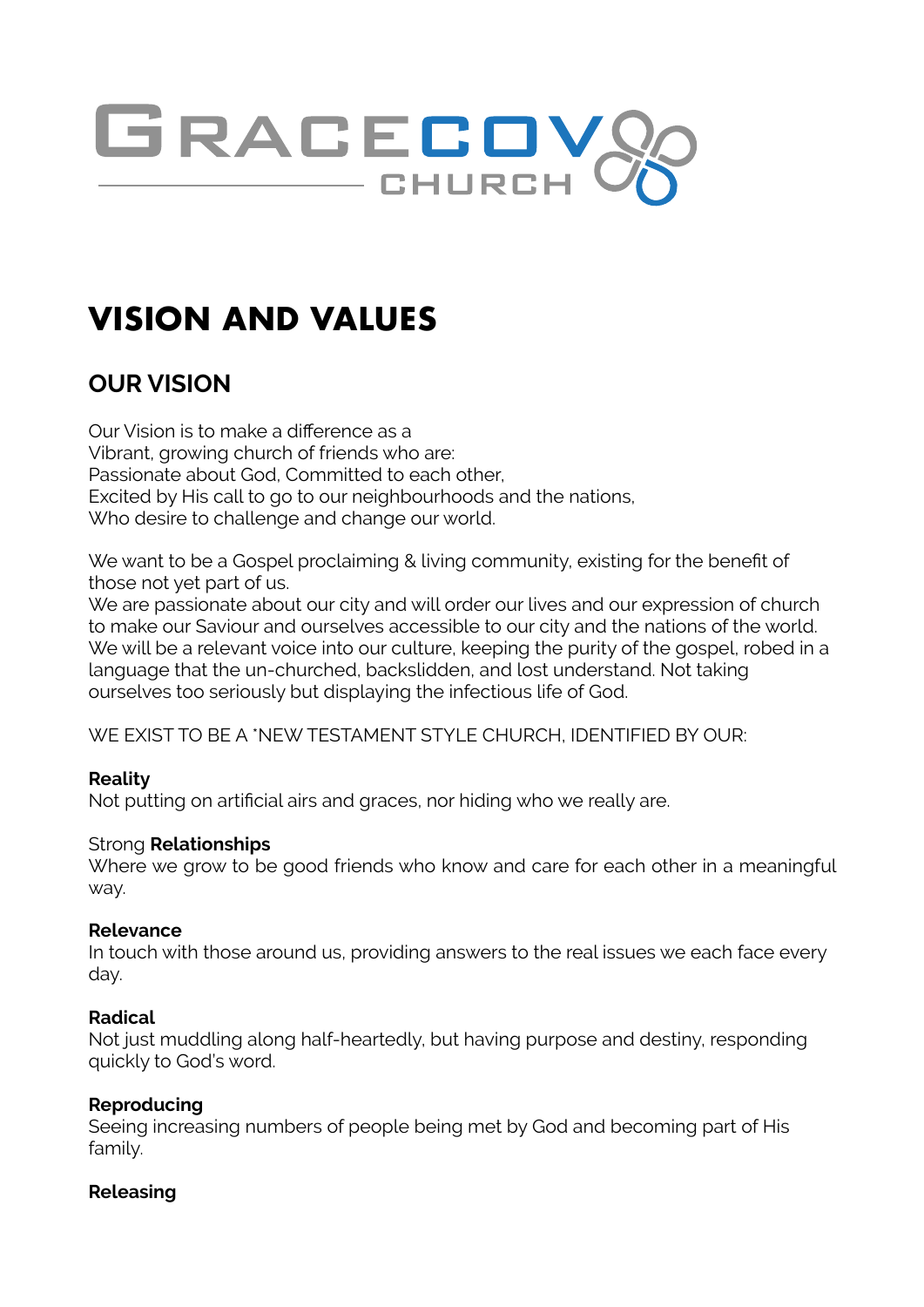

# **VISION AND VALUES**

# **OUR VISION**

Our Vision is to make a difference as a Vibrant, growing church of friends who are: Passionate about God, Committed to each other, Excited by His call to go to our neighbourhoods and the nations, Who desire to challenge and change our world.

We want to be a Gospel proclaiming & living community, existing for the benefit of those not yet part of us.

We are passionate about our city and will order our lives and our expression of church to make our Saviour and ourselves accessible to our city and the nations of the world. We will be a relevant voice into our culture, keeping the purity of the gospel, robed in a language that the un-churched, backslidden, and lost understand. Not taking ourselves too seriously but displaying the infectious life of God.

WE EXIST TO BE A \*NEW TESTAMENT STYLE CHURCH, IDENTIFIED BY OUR:

# **Reality**

Not putting on artificial airs and graces, nor hiding who we really are.

#### Strong **Relationships**

Where we grow to be good friends who know and care for each other in a meaningful way.

#### **Relevance**

In touch with those around us, providing answers to the real issues we each face every day.

#### **Radical**

Not just muddling along half-heartedly, but having purpose and destiny, responding quickly to God's word.

# **Reproducing**

Seeing increasing numbers of people being met by God and becoming part of His family.

#### **Releasing**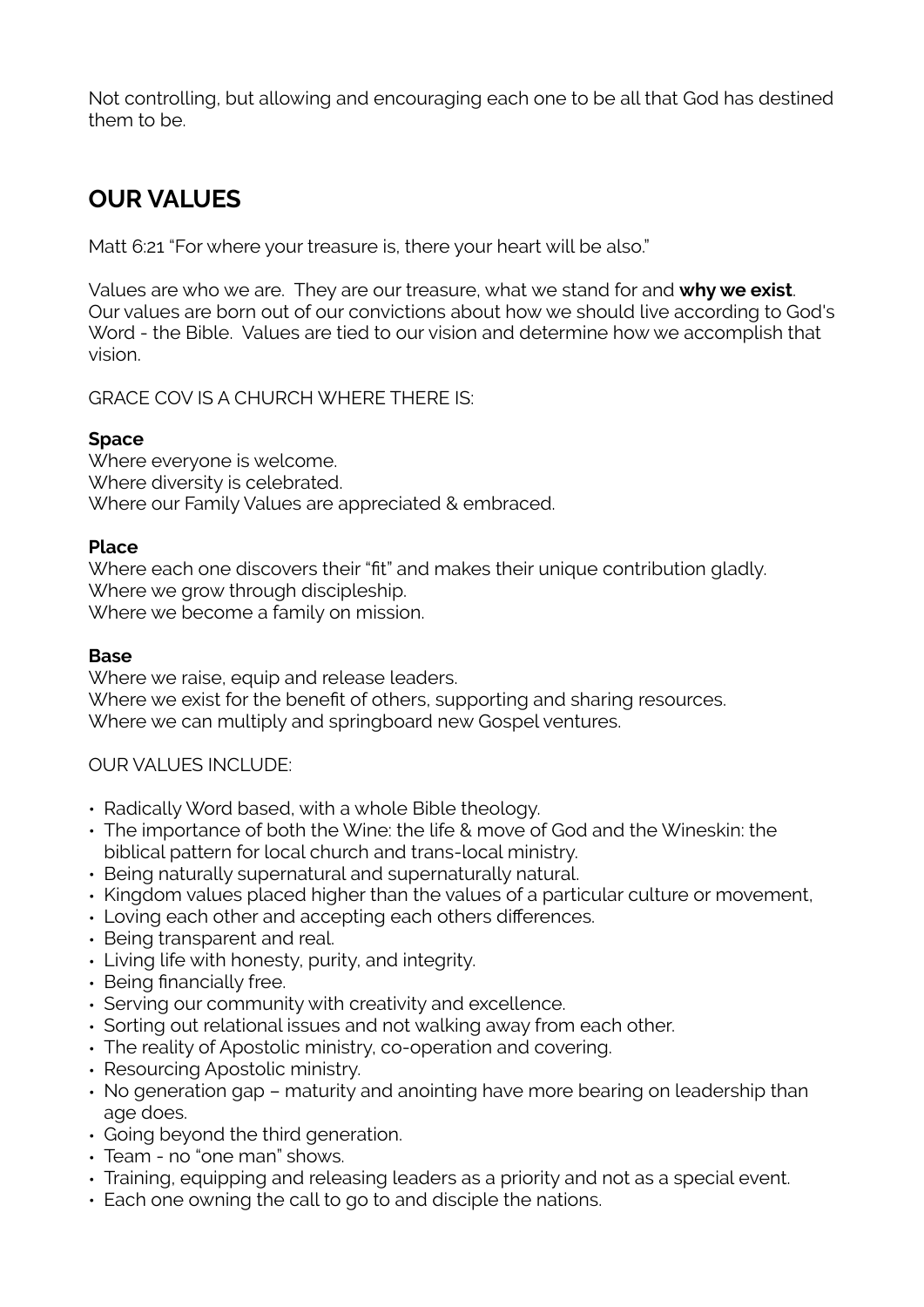Not controlling, but allowing and encouraging each one to be all that God has destined them to be.

# **OUR VALUES**

Matt 6:21 "For where your treasure is, there your heart will be also."

Values are who we are. They are our treasure, what we stand for and **why we exist**. Our values are born out of our convictions about how we should live according to God's Word - the Bible. Values are tied to our vision and determine how we accomplish that vision.

GRACE COV IS A CHURCH WHERE THERE IS:

#### **Space**

Where everyone is welcome. Where diversity is celebrated. Where our Family Values are appreciated & embraced.

#### **Place**

Where each one discovers their "fit" and makes their unique contribution gladly. Where we grow through discipleship. Where we become a family on mission.

### **Base**

Where we raise, equip and release leaders. Where we exist for the benefit of others, supporting and sharing resources. Where we can multiply and springboard new Gospel ventures.

# OUR VALUES INCLUDE:

- Radically Word based, with a whole Bible theology.
- The importance of both the Wine: the life & move of God and the Wineskin: the biblical pattern for local church and trans-local ministry.
- Being naturally supernatural and supernaturally natural.
- Kingdom values placed higher than the values of a particular culture or movement,
- Loving each other and accepting each others differences.
- Being transparent and real.
- Living life with honesty, purity, and integrity.
- Being financially free.
- Serving our community with creativity and excellence.
- Sorting out relational issues and not walking away from each other.
- The reality of Apostolic ministry, co-operation and covering.
- Resourcing Apostolic ministry.
- No generation gap maturity and anointing have more bearing on leadership than age does.
- Going beyond the third generation.
- Team no "one man" shows.
- Training, equipping and releasing leaders as a priority and not as a special event.
- Each one owning the call to go to and disciple the nations.